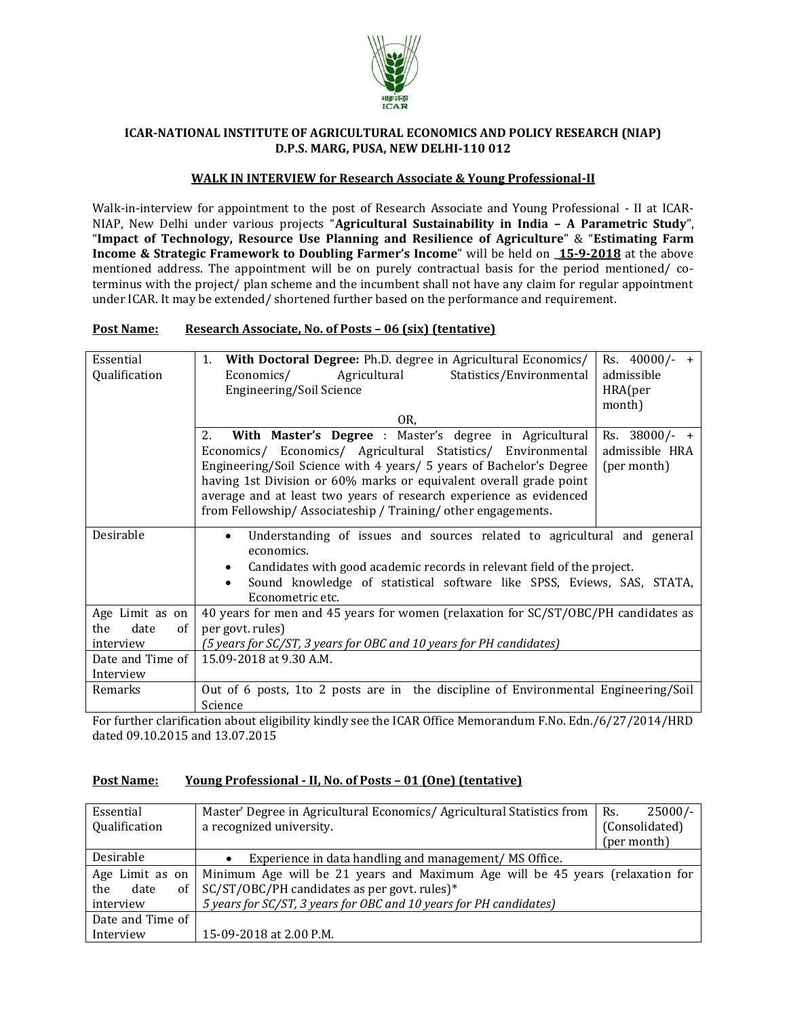

### **ICAR-NATIONAL INSTITUTE OF AGRICULTURAL ECONOMICS AND POLICY RESEARCH (NIAP) D.P.S. MARG, PUSA, NEW DELHI-110 012**

#### **WALK IN INTERVIEW for Research Associate & Young Professional-II**

Walk-in-interview for appointment to the post of Research Associate and Young Professional - II at ICAR-NIAP, New Delhi under various projects "**Agricultural Sustainability in India – A Parametric Study**", "**Impact of Technology, Resource Use Planning and Resilience of Agriculture**" & "**Estimating Farm Income & Strategic Framework to Doubling Farmer's Income**" will be held on **\_15-9-2018** at the above mentioned address. The appointment will be on purely contractual basis for the period mentioned/ coterminus with the project/ plan scheme and the incumbent shall not have any claim for regular appointment under ICAR. It may be extended/ shortened further based on the performance and requirement.

#### **Post Name: Research Associate, No. of Posts – 06 (six) (tentative)**

| Essential<br>Qualification                                   | With Doctoral Degree: Ph.D. degree in Agricultural Economics/<br>1.<br>Statistics/Environmental<br>Economics/<br>Agricultural<br>Engineering/Soil Science<br>OR,                                                                                                                                                                                                                                             |                                                |  |  |  |
|--------------------------------------------------------------|--------------------------------------------------------------------------------------------------------------------------------------------------------------------------------------------------------------------------------------------------------------------------------------------------------------------------------------------------------------------------------------------------------------|------------------------------------------------|--|--|--|
|                                                              | 2.<br>With Master's Degree : Master's degree in Agricultural<br>Economics/ Economics/ Agricultural Statistics/ Environmental<br>Engineering/Soil Science with 4 years/ 5 years of Bachelor's Degree<br>having 1st Division or 60% marks or equivalent overall grade point<br>average and at least two years of research experience as evidenced<br>from Fellowship/Associateship/Training/other engagements. | Rs. 38000/- +<br>admissible HRA<br>(per month) |  |  |  |
| Desirable                                                    | Understanding of issues and sources related to agricultural and general<br>economics.<br>Candidates with good academic records in relevant field of the project.<br>Sound knowledge of statistical software like SPSS, Eviews, SAS, STATA,<br>Econometric etc.                                                                                                                                               |                                                |  |  |  |
| Age Limit as on<br>the<br><sub>of</sub><br>date<br>interview | 40 years for men and 45 years for women (relaxation for SC/ST/OBC/PH candidates as<br>per govt. rules)<br>(5 years for SC/ST, 3 years for OBC and 10 years for PH candidates)                                                                                                                                                                                                                                |                                                |  |  |  |
| Date and Time of<br>Interview                                | 15.09-2018 at 9.30 A.M.                                                                                                                                                                                                                                                                                                                                                                                      |                                                |  |  |  |
| Remarks                                                      | Out of 6 posts, 1to 2 posts are in the discipline of Environmental Engineering/Soil<br>Science                                                                                                                                                                                                                                                                                                               |                                                |  |  |  |

For further clarification about eligibility kindly see the ICAR Office Memorandum F.No. Edn./6/27/2014/HRD dated 09.10.2015 and 13.07.2015

### **Post Name: Young Professional - II, No. of Posts – 01 (One) (tentative)**

| Essential         | Master' Degree in Agricultural Economics/ Agricultural Statistics from        | $25000/-$<br>Rs. |
|-------------------|-------------------------------------------------------------------------------|------------------|
| Qualification     | a recognized university.                                                      | (Consolidated)   |
|                   |                                                                               | (per month)      |
| Desirable         | Experience in data handling and management/ MS Office.<br>$\bullet$           |                  |
| Age Limit as on   | Minimum Age will be 21 years and Maximum Age will be 45 years (relaxation for |                  |
| of<br>date<br>the | SC/ST/OBC/PH candidates as per govt. rules)*                                  |                  |
| interview         | 5 years for SC/ST, 3 years for OBC and 10 years for PH candidates)            |                  |
| Date and Time of  |                                                                               |                  |
| Interview         | 15-09-2018 at 2.00 P.M.                                                       |                  |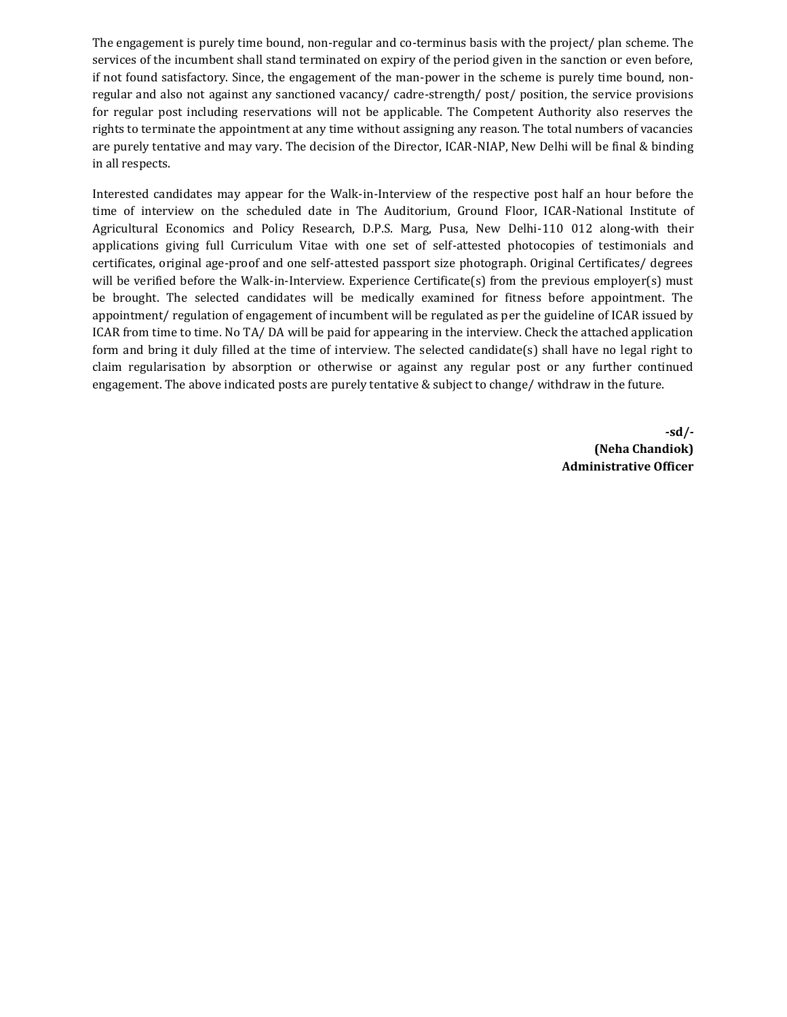The engagement is purely time bound, non-regular and co-terminus basis with the project/ plan scheme. The services of the incumbent shall stand terminated on expiry of the period given in the sanction or even before, if not found satisfactory. Since, the engagement of the man-power in the scheme is purely time bound, nonregular and also not against any sanctioned vacancy/ cadre-strength/ post/ position, the service provisions for regular post including reservations will not be applicable. The Competent Authority also reserves the rights to terminate the appointment at any time without assigning any reason. The total numbers of vacancies are purely tentative and may vary. The decision of the Director, ICAR-NIAP, New Delhi will be final & binding in all respects.

Interested candidates may appear for the Walk-in-Interview of the respective post half an hour before the time of interview on the scheduled date in The Auditorium, Ground Floor, ICAR-National Institute of Agricultural Economics and Policy Research, D.P.S. Marg, Pusa, New Delhi-110 012 along-with their applications giving full Curriculum Vitae with one set of self-attested photocopies of testimonials and certificates, original age-proof and one self-attested passport size photograph. Original Certificates/ degrees will be verified before the Walk-in-Interview. Experience Certificate(s) from the previous employer(s) must be brought. The selected candidates will be medically examined for fitness before appointment. The appointment/ regulation of engagement of incumbent will be regulated as per the guideline of ICAR issued by ICAR from time to time. No TA/ DA will be paid for appearing in the interview. Check the attached application form and bring it duly filled at the time of interview. The selected candidate(s) shall have no legal right to claim regularisation by absorption or otherwise or against any regular post or any further continued engagement. The above indicated posts are purely tentative & subject to change/ withdraw in the future.

> **-sd/- (Neha Chandiok) Administrative Officer**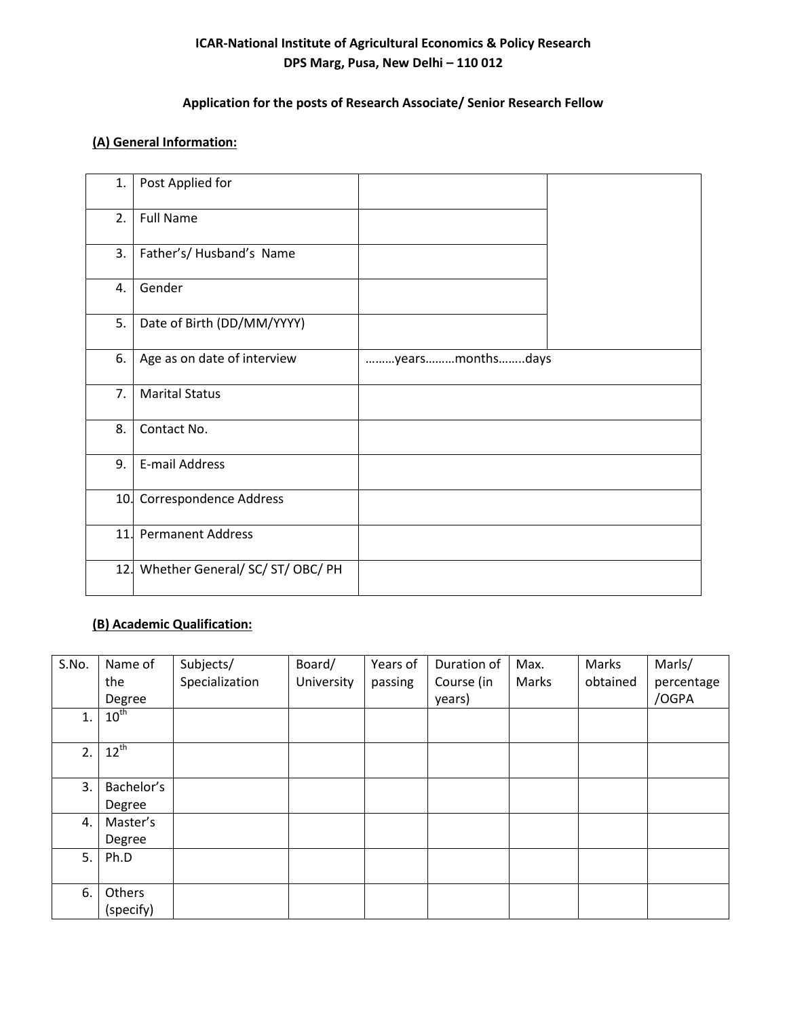# **ICAR-National Institute of Agricultural Economics & Policy Research DPS Marg, Pusa, New Delhi – 110 012**

# **Application for the posts of Research Associate/ Senior Research Fellow**

### **(A) General Information:**

| 1. | Post Applied for                     |                 |  |
|----|--------------------------------------|-----------------|--|
| 2. | <b>Full Name</b>                     |                 |  |
| 3. | Father's/ Husband's Name             |                 |  |
| 4. | Gender                               |                 |  |
| 5. | Date of Birth (DD/MM/YYYY)           |                 |  |
| 6. | Age as on date of interview          | yearsmonthsdays |  |
| 7. | <b>Marital Status</b>                |                 |  |
| 8. | Contact No.                          |                 |  |
| 9. | E-mail Address                       |                 |  |
|    | 10. Correspondence Address           |                 |  |
|    | 11. Permanent Address                |                 |  |
|    | 12. Whether General/ SC/ ST/ OBC/ PH |                 |  |

# **(B) Academic Qualification:**

| S.No. | Name of<br>the<br>Degree | Subjects/<br>Specialization | Board/<br>University | Years of<br>passing | Duration of<br>Course (in<br>years) | Max.<br>Marks | Marks<br>obtained | Marls/<br>percentage<br>/OGPA |
|-------|--------------------------|-----------------------------|----------------------|---------------------|-------------------------------------|---------------|-------------------|-------------------------------|
| 1.    | $10^{\text{th}}$         |                             |                      |                     |                                     |               |                   |                               |
| 2.    | $12^{th}$                |                             |                      |                     |                                     |               |                   |                               |
| 3.    | Bachelor's               |                             |                      |                     |                                     |               |                   |                               |
|       | Degree                   |                             |                      |                     |                                     |               |                   |                               |
| 4.    | Master's                 |                             |                      |                     |                                     |               |                   |                               |
|       | Degree                   |                             |                      |                     |                                     |               |                   |                               |
| 5.    | Ph.D                     |                             |                      |                     |                                     |               |                   |                               |
| 6.    | Others<br>(specify)      |                             |                      |                     |                                     |               |                   |                               |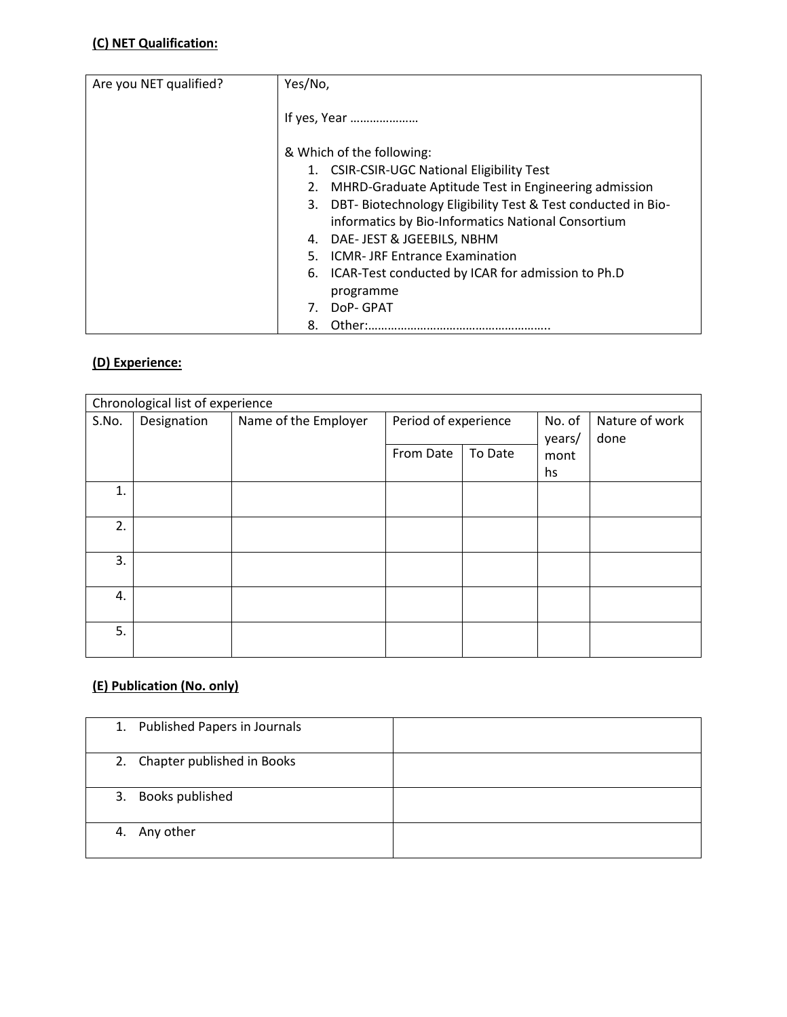### **(C) NET Qualification:**

| Are you NET qualified? | Yes/No,                                                         |
|------------------------|-----------------------------------------------------------------|
|                        |                                                                 |
|                        |                                                                 |
|                        | If yes, Year                                                    |
|                        |                                                                 |
|                        | & Which of the following:                                       |
|                        | 1. CSIR-CSIR-UGC National Eligibility Test                      |
|                        | 2. MHRD-Graduate Aptitude Test in Engineering admission         |
|                        | 3. DBT- Biotechnology Eligibility Test & Test conducted in Bio- |
|                        | informatics by Bio-Informatics National Consortium              |
|                        | 4. DAE- JEST & JGEEBILS, NBHM                                   |
|                        | <b>ICMR-JRF Entrance Examination</b><br>5.                      |
|                        | 6. ICAR-Test conducted by ICAR for admission to Ph.D            |
|                        | programme                                                       |
|                        | DoP- GPAT                                                       |
|                        | 8.                                                              |

# **(D) Experience:**

| Chronological list of experience |             |                      |                      |         |        |                |
|----------------------------------|-------------|----------------------|----------------------|---------|--------|----------------|
| S.No.                            | Designation | Name of the Employer | Period of experience |         | No. of | Nature of work |
|                                  |             |                      |                      |         | years/ | done           |
|                                  |             |                      | From Date            | To Date | mont   |                |
|                                  |             |                      |                      |         | hs     |                |
| 1.                               |             |                      |                      |         |        |                |
|                                  |             |                      |                      |         |        |                |
| 2.                               |             |                      |                      |         |        |                |
|                                  |             |                      |                      |         |        |                |
| 3.                               |             |                      |                      |         |        |                |
|                                  |             |                      |                      |         |        |                |
| 4.                               |             |                      |                      |         |        |                |
|                                  |             |                      |                      |         |        |                |
| 5.                               |             |                      |                      |         |        |                |
|                                  |             |                      |                      |         |        |                |

# **(E) Publication (No. only)**

| 1. Published Papers in Journals |  |
|---------------------------------|--|
| 2. Chapter published in Books   |  |
| 3. Books published              |  |
| 4. Any other                    |  |